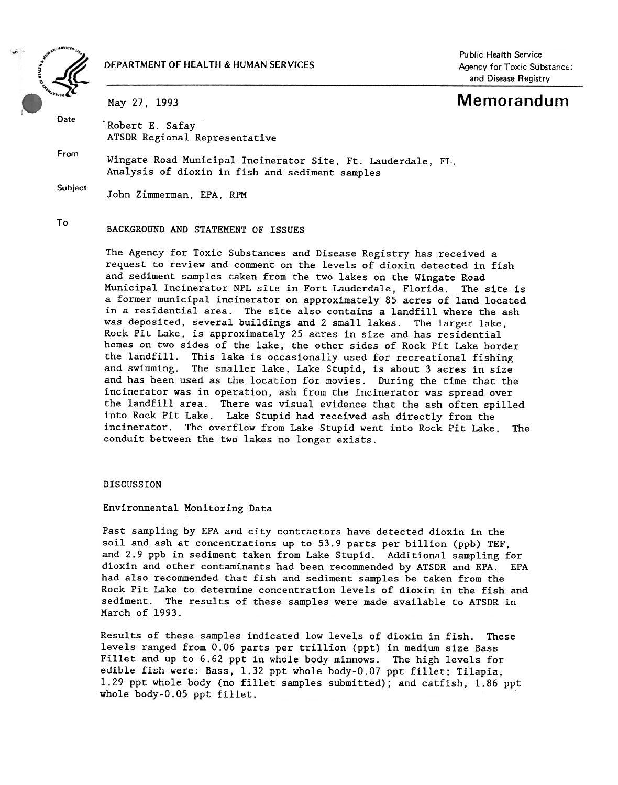

# DEPARTMENT OF HEALTH & HUMAN SERVICES

Public Health Service Agency for Toxic Substance: and Disease Registry

May 27, 1993 Memorandum

Date . Robert E. Safay ATSDR Regional Representative

From Wingate Road Municipal Incinerator Site, Ft. Lauderdale, FI,. Analysis of dioxin in fish and sediment samples

Subject John Zimmerman, EPA, RPM

# To BACKGROUND AND STATEMENT OF ISSUES

The Agency for Toxic Substances and Disease Registry has received a request to review and comment on the levels of dioxin detected in fish and sediment samples taken from the two lakes on the Wingate Road Municipal Incinerator NPL site in Fort Lauderdale, Florida. The site is a former municipal incinerator on approximately 85 acres of land located in a residential area. The site also contains a landfill where the ash was deposited, several buildings and 2 small lakes. The larger lake, Rock Pit Lake, is approximately 25 acres in size and has residential homes on two sides of the lake, the other sides of Rock Pit Lake border the landfill. This lake is occasionally used for recreational fishing and swimming. The smaller lake, Lake Stupid, is about 3 acres in size and has been used as the location for movies. During the time that the incinerator was in operation, ash from the incinerator was spread over the landfill area. There was visual evidence that the ash often spilled into Rock Pit Lake. Lake Stupid had received ash directly from the incinerator. The overflow from Lake Stupid went into Rock Pit Lake. The conduit between the two lakes no longer exists.

## DISCUSSION

#### Environmental Monitoring Data

Past sampling by EPA and city contractors have detected dioxin in the soil and ash at concentrations up to 53.9 parts per billion (ppb) TEF, and 2.9 ppb in sediment taken from Lake Stupid. Additional sampling for dioxin and other contaminants had been recommended by ATSDR and EPA. EPA had also recommended that fish and sediment samples be taken from the Rock Pit Lake to determine concentration levels of dioxin in the fish and sediment. The results of these samples were made available to ATSDR in March of 1993.

Results of these samples indicated low levels of dioxin in fish. These levels ranged from 0.06 parts per trillion (ppt) in medium size Bass Fillet and up to 6.62 ppt in whole body minnows. The high levels for edible fish were: Bass, 1.32 ppt whole body-0.07 ppt fillet; Ti1apia, 1.29 ppt whole body (no fillet samples submitted); and catfish, 1.86 ppt whole body-0.05 ppt fillet.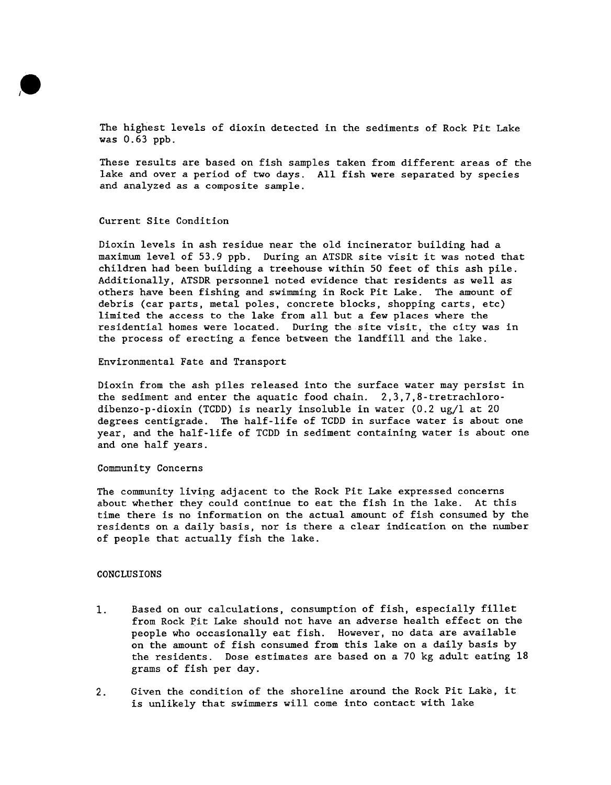

The highest levels of dioxin detected in the sediments of Rock Pit Lake was 0.63 ppb.

These results are based on fish samples taken from different areas of the lake and over a period of two days. All fish were separated by species and analyzed as a composite sample.

#### Current Site Condition

Dioxin levels in ash residue near the old incinerator building had a maximum level of 53.9 ppb. During an ATSDR site visit it was noted that children had been building a treehouse within 50 feet of this ash pile. Additionally, ATSDR personnel noted evidence that residents as well as others have been fishing and swimming in Rock Pit Lake. The amount of debris (car parts, metal poles, concrete blocks, shopping carts, etc) limited the access to the lake from all but a few places where the residential homes were located. During the site visit, the city was in the process of erecting a fence between the landfill and the lake.

Environmental Fate and Transport

Dioxin from the ash piles released into the surface water may persist in the sediment and enter the aquatic food chain. 2,3,7,8-tretrachlorodibenzo-p-dioxin (TCDD) is nearly insoluble in water (0.2 ug/l at 20 degrees centigrade. The half-life of TCDD in surface water is about one year, and the half-life of TCDD in sediment containing water is about one and one half years.

Community Concerns

The community living adjacent to the Rock Pit Lake expressed concerns about whether they could continue to eat the fish in the lake. At this time there is no information on the actual amount of fish consumed by the residents on a daily basis, nor is there a clear indication on the number of people that actually fish the lake.

### CONCLUSIONS

- Based on our calculations, consumption of fish, especially fillet from Rock Pit Lake should not have an adverse health effect on the people who occasionally eat fish. However, no data are available on the amount of fish consumed from this lake on a daily basis by the residents. Dose estimates are based on a 70 kg adult eating 18 grams of fish per day. 1.
- Given the condition of the shoreline around the Rock Pit Lake, it is unlikely that swimmers will come into contact with lake 2.